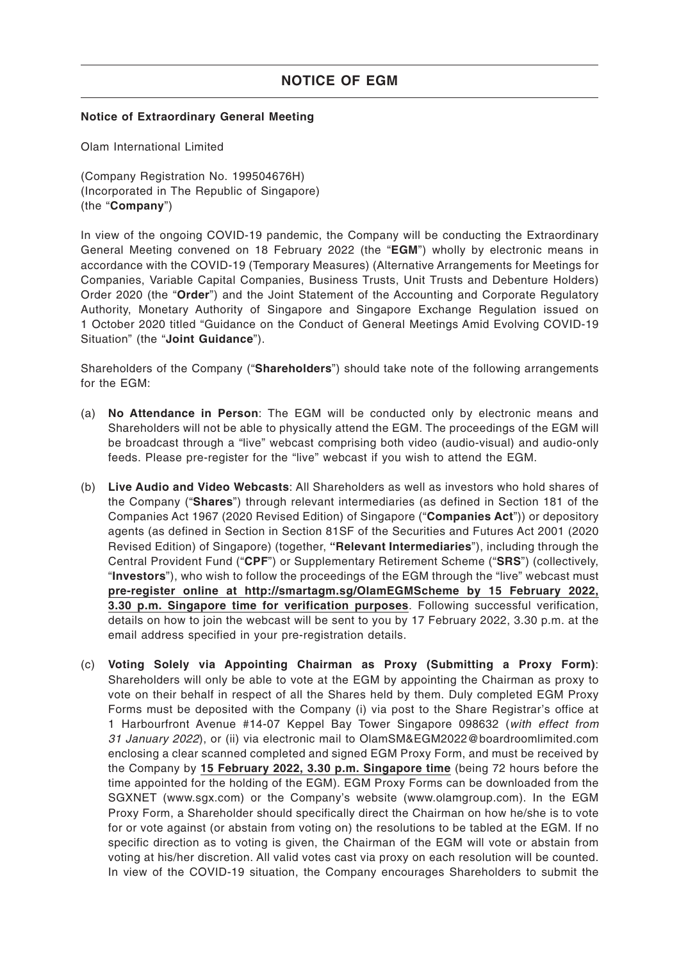#### **Notice of Extraordinary General Meeting**

Olam International Limited

(Company Registration No. 199504676H) (Incorporated in The Republic of Singapore) (the "**Company**")

In view of the ongoing COVID-19 pandemic, the Company will be conducting the Extraordinary General Meeting convened on 18 February 2022 (the "**EGM**") wholly by electronic means in accordance with the COVID-19 (Temporary Measures) (Alternative Arrangements for Meetings for Companies, Variable Capital Companies, Business Trusts, Unit Trusts and Debenture Holders) Order 2020 (the "**Order**") and the Joint Statement of the Accounting and Corporate Regulatory Authority, Monetary Authority of Singapore and Singapore Exchange Regulation issued on 1 October 2020 titled "Guidance on the Conduct of General Meetings Amid Evolving COVID-19 Situation" (the "**Joint Guidance**").

Shareholders of the Company ("**Shareholders**") should take note of the following arrangements for the EGM:

- (a) **No Attendance in Person**: The EGM will be conducted only by electronic means and Shareholders will not be able to physically attend the EGM. The proceedings of the EGM will be broadcast through a "live" webcast comprising both video (audio-visual) and audio-only feeds. Please pre-register for the "live" webcast if you wish to attend the EGM.
- (b) **Live Audio and Video Webcasts**: All Shareholders as well as investors who hold shares of the Company ("**Shares**") through relevant intermediaries (as defined in Section 181 of the Companies Act 1967 (2020 Revised Edition) of Singapore ("**Companies Act**")) or depository agents (as defined in Section in Section 81SF of the Securities and Futures Act 2001 (2020 Revised Edition) of Singapore) (together, **"Relevant Intermediaries**"), including through the Central Provident Fund ("**CPF**") or Supplementary Retirement Scheme ("**SRS**") (collectively, "**Investors**"), who wish to follow the proceedings of the EGM through the "live" webcast must **pre-register online at http://smartagm.sg/OlamEGMScheme by 15 February 2022, 3.30 p.m. Singapore time for verification purposes**. Following successful verification, details on how to join the webcast will be sent to you by 17 February 2022, 3.30 p.m. at the email address specified in your pre-registration details.
- (c) **Voting Solely via Appointing Chairman as Proxy (Submitting a Proxy Form)**: Shareholders will only be able to vote at the EGM by appointing the Chairman as proxy to vote on their behalf in respect of all the Shares held by them. Duly completed EGM Proxy Forms must be deposited with the Company (i) via post to the Share Registrar's office at 1 Harbourfront Avenue #14-07 Keppel Bay Tower Singapore 098632 (with effect from 31 January 2022), or (ii) via electronic mail to OlamSM&EGM2022@boardroomlimited.com enclosing a clear scanned completed and signed EGM Proxy Form, and must be received by the Company by **15 February 2022, 3.30 p.m. Singapore time** (being 72 hours before the time appointed for the holding of the EGM). EGM Proxy Forms can be downloaded from the SGXNET (www.sgx.com) or the Company's website (www.olamgroup.com). In the EGM Proxy Form, a Shareholder should specifically direct the Chairman on how he/she is to vote for or vote against (or abstain from voting on) the resolutions to be tabled at the EGM. If no specific direction as to voting is given, the Chairman of the EGM will vote or abstain from voting at his/her discretion. All valid votes cast via proxy on each resolution will be counted. In view of the COVID-19 situation, the Company encourages Shareholders to submit the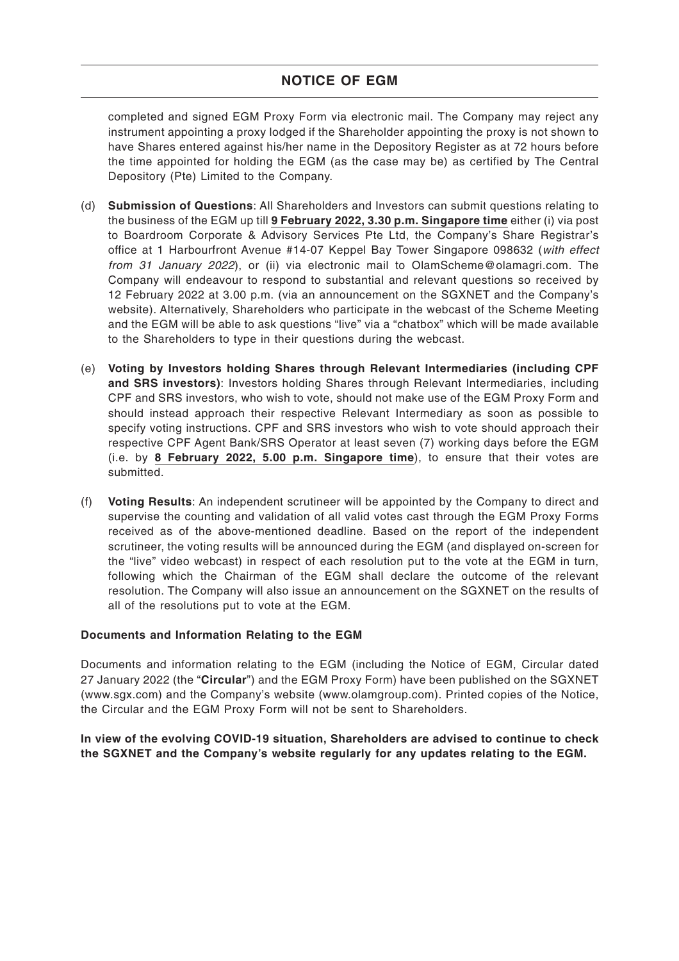## **NOTICE OF EGM**

completed and signed EGM Proxy Form via electronic mail. The Company may reject any instrument appointing a proxy lodged if the Shareholder appointing the proxy is not shown to have Shares entered against his/her name in the Depository Register as at 72 hours before the time appointed for holding the EGM (as the case may be) as certified by The Central Depository (Pte) Limited to the Company.

- (d) **Submission of Questions**: All Shareholders and Investors can submit questions relating to the business of the EGM up till **9 February 2022, 3.30 p.m. Singapore time** either (i) via post to Boardroom Corporate & Advisory Services Pte Ltd, the Company's Share Registrar's office at 1 Harbourfront Avenue #14-07 Keppel Bay Tower Singapore 098632 (with effect from 31 January 2022), or (ii) via electronic mail to OlamScheme@olamagri.com. The Company will endeavour to respond to substantial and relevant questions so received by 12 February 2022 at 3.00 p.m. (via an announcement on the SGXNET and the Company's website). Alternatively, Shareholders who participate in the webcast of the Scheme Meeting and the EGM will be able to ask questions "live" via a "chatbox" which will be made available to the Shareholders to type in their questions during the webcast.
- (e) **Voting by Investors holding Shares through Relevant Intermediaries (including CPF and SRS investors)**: Investors holding Shares through Relevant Intermediaries, including CPF and SRS investors, who wish to vote, should not make use of the EGM Proxy Form and should instead approach their respective Relevant Intermediary as soon as possible to specify voting instructions. CPF and SRS investors who wish to vote should approach their respective CPF Agent Bank/SRS Operator at least seven (7) working days before the EGM (i.e. by **8 February 2022, 5.00 p.m. Singapore time**), to ensure that their votes are submitted.
- (f) **Voting Results**: An independent scrutineer will be appointed by the Company to direct and supervise the counting and validation of all valid votes cast through the EGM Proxy Forms received as of the above-mentioned deadline. Based on the report of the independent scrutineer, the voting results will be announced during the EGM (and displayed on-screen for the "live" video webcast) in respect of each resolution put to the vote at the EGM in turn, following which the Chairman of the EGM shall declare the outcome of the relevant resolution. The Company will also issue an announcement on the SGXNET on the results of all of the resolutions put to vote at the EGM.

### **Documents and Information Relating to the EGM**

Documents and information relating to the EGM (including the Notice of EGM, Circular dated 27 January 2022 (the "**Circular**") and the EGM Proxy Form) have been published on the SGXNET (www.sgx.com) and the Company's website (www.olamgroup.com). Printed copies of the Notice, the Circular and the EGM Proxy Form will not be sent to Shareholders.

**In view of the evolving COVID-19 situation, Shareholders are advised to continue to check the SGXNET and the Company's website regularly for any updates relating to the EGM.**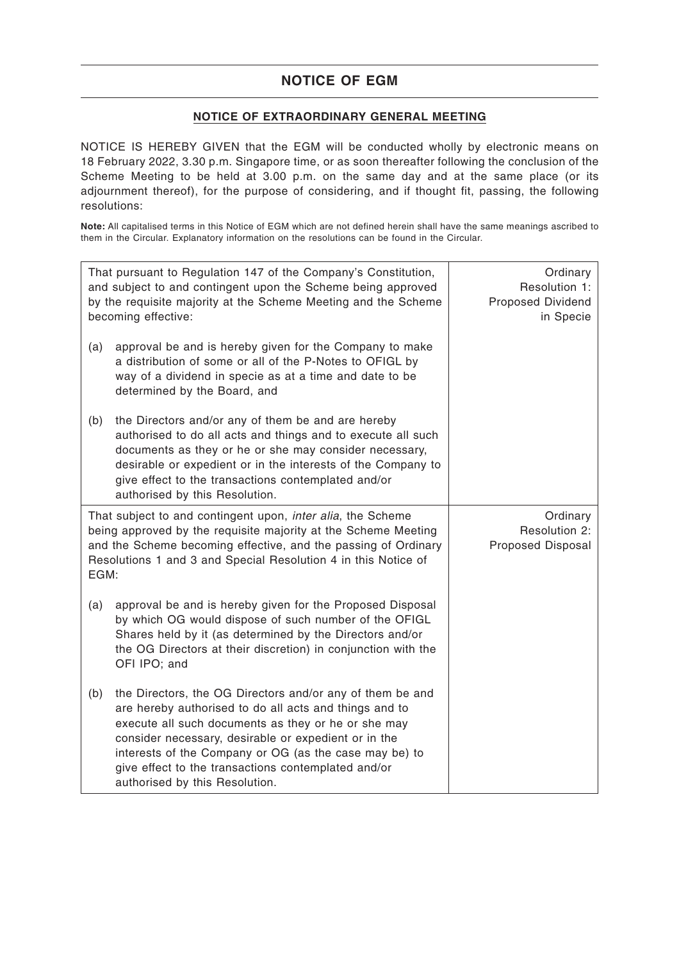## **NOTICE OF EGM**

## **NOTICE OF EXTRAORDINARY GENERAL MEETING**

NOTICE IS HEREBY GIVEN that the EGM will be conducted wholly by electronic means on 18 February 2022, 3.30 p.m. Singapore time, or as soon thereafter following the conclusion of the Scheme Meeting to be held at 3.00 p.m. on the same day and at the same place (or its adjournment thereof), for the purpose of considering, and if thought fit, passing, the following resolutions:

**Note:** All capitalised terms in this Notice of EGM which are not defined herein shall have the same meanings ascribed to them in the Circular. Explanatory information on the resolutions can be found in the Circular.

| That pursuant to Regulation 147 of the Company's Constitution,<br>and subject to and contingent upon the Scheme being approved<br>by the requisite majority at the Scheme Meeting and the Scheme<br>becoming effective:                                                   |                                                                                                                                                                                                                                                                                                                                                                                       | Ordinary<br>Resolution 1:<br>Proposed Dividend<br>in Specie |
|---------------------------------------------------------------------------------------------------------------------------------------------------------------------------------------------------------------------------------------------------------------------------|---------------------------------------------------------------------------------------------------------------------------------------------------------------------------------------------------------------------------------------------------------------------------------------------------------------------------------------------------------------------------------------|-------------------------------------------------------------|
| (a)                                                                                                                                                                                                                                                                       | approval be and is hereby given for the Company to make<br>a distribution of some or all of the P-Notes to OFIGL by<br>way of a dividend in specie as at a time and date to be<br>determined by the Board, and                                                                                                                                                                        |                                                             |
| (b)                                                                                                                                                                                                                                                                       | the Directors and/or any of them be and are hereby<br>authorised to do all acts and things and to execute all such<br>documents as they or he or she may consider necessary,<br>desirable or expedient or in the interests of the Company to<br>give effect to the transactions contemplated and/or<br>authorised by this Resolution.                                                 |                                                             |
| That subject to and contingent upon, inter alia, the Scheme<br>being approved by the requisite majority at the Scheme Meeting<br>and the Scheme becoming effective, and the passing of Ordinary<br>Resolutions 1 and 3 and Special Resolution 4 in this Notice of<br>EGM: |                                                                                                                                                                                                                                                                                                                                                                                       | Ordinary<br>Resolution 2:<br>Proposed Disposal              |
| (a)                                                                                                                                                                                                                                                                       | approval be and is hereby given for the Proposed Disposal<br>by which OG would dispose of such number of the OFIGL<br>Shares held by it (as determined by the Directors and/or<br>the OG Directors at their discretion) in conjunction with the<br>OFI IPO; and                                                                                                                       |                                                             |
| (b)                                                                                                                                                                                                                                                                       | the Directors, the OG Directors and/or any of them be and<br>are hereby authorised to do all acts and things and to<br>execute all such documents as they or he or she may<br>consider necessary, desirable or expedient or in the<br>interests of the Company or OG (as the case may be) to<br>give effect to the transactions contemplated and/or<br>authorised by this Resolution. |                                                             |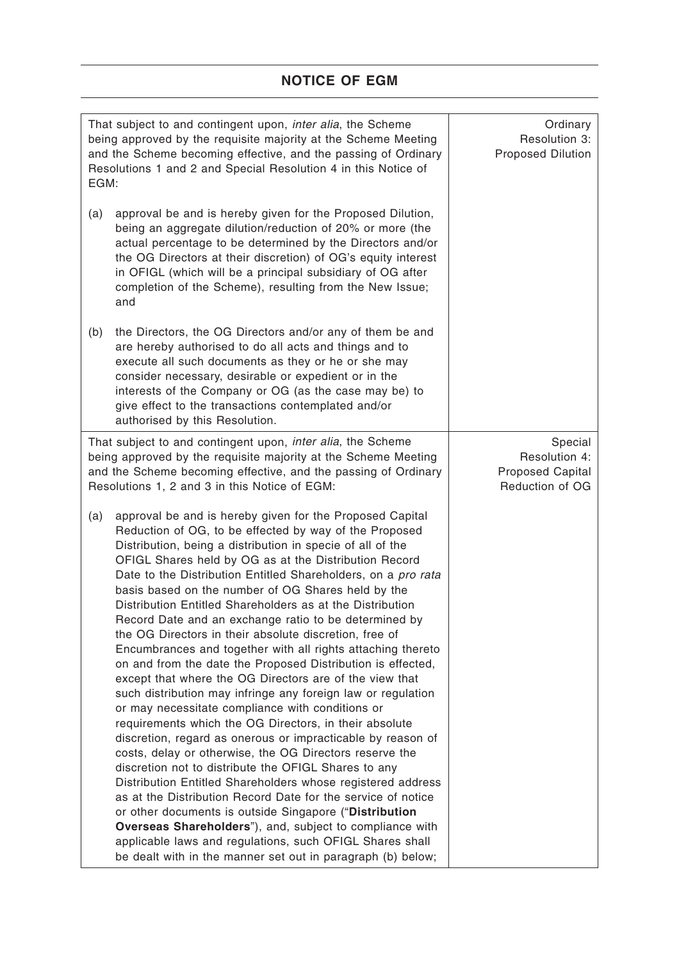# **NOTICE OF EGM**

| That subject to and contingent upon, inter alia, the Scheme<br>being approved by the requisite majority at the Scheme Meeting<br>and the Scheme becoming effective, and the passing of Ordinary<br>Resolutions 1 and 2 and Special Resolution 4 in this Notice of<br>EGM: |                                                                                                                                                                                                                                                                                                                                                                                                                                                                                                                                                                                                                                                                                                                                                                                                                                                                                                                                                                                                                                                                                                                                                                                                                                                                                                                                                                                                                                                                                           | Ordinary<br>Resolution 3:<br>Proposed Dilution                         |
|---------------------------------------------------------------------------------------------------------------------------------------------------------------------------------------------------------------------------------------------------------------------------|-------------------------------------------------------------------------------------------------------------------------------------------------------------------------------------------------------------------------------------------------------------------------------------------------------------------------------------------------------------------------------------------------------------------------------------------------------------------------------------------------------------------------------------------------------------------------------------------------------------------------------------------------------------------------------------------------------------------------------------------------------------------------------------------------------------------------------------------------------------------------------------------------------------------------------------------------------------------------------------------------------------------------------------------------------------------------------------------------------------------------------------------------------------------------------------------------------------------------------------------------------------------------------------------------------------------------------------------------------------------------------------------------------------------------------------------------------------------------------------------|------------------------------------------------------------------------|
| (a)                                                                                                                                                                                                                                                                       | approval be and is hereby given for the Proposed Dilution,<br>being an aggregate dilution/reduction of 20% or more (the<br>actual percentage to be determined by the Directors and/or<br>the OG Directors at their discretion) of OG's equity interest<br>in OFIGL (which will be a principal subsidiary of OG after<br>completion of the Scheme), resulting from the New Issue;<br>and                                                                                                                                                                                                                                                                                                                                                                                                                                                                                                                                                                                                                                                                                                                                                                                                                                                                                                                                                                                                                                                                                                   |                                                                        |
| (b)                                                                                                                                                                                                                                                                       | the Directors, the OG Directors and/or any of them be and<br>are hereby authorised to do all acts and things and to<br>execute all such documents as they or he or she may<br>consider necessary, desirable or expedient or in the<br>interests of the Company or OG (as the case may be) to<br>give effect to the transactions contemplated and/or<br>authorised by this Resolution.                                                                                                                                                                                                                                                                                                                                                                                                                                                                                                                                                                                                                                                                                                                                                                                                                                                                                                                                                                                                                                                                                                     |                                                                        |
|                                                                                                                                                                                                                                                                           | That subject to and contingent upon, inter alia, the Scheme<br>being approved by the requisite majority at the Scheme Meeting<br>and the Scheme becoming effective, and the passing of Ordinary<br>Resolutions 1, 2 and 3 in this Notice of EGM:                                                                                                                                                                                                                                                                                                                                                                                                                                                                                                                                                                                                                                                                                                                                                                                                                                                                                                                                                                                                                                                                                                                                                                                                                                          | Special<br>Resolution 4:<br><b>Proposed Capital</b><br>Reduction of OG |
| (a)                                                                                                                                                                                                                                                                       | approval be and is hereby given for the Proposed Capital<br>Reduction of OG, to be effected by way of the Proposed<br>Distribution, being a distribution in specie of all of the<br>OFIGL Shares held by OG as at the Distribution Record<br>Date to the Distribution Entitled Shareholders, on a pro rata<br>basis based on the number of OG Shares held by the<br>Distribution Entitled Shareholders as at the Distribution<br>Record Date and an exchange ratio to be determined by<br>the OG Directors in their absolute discretion, free of<br>Encumbrances and together with all rights attaching thereto<br>on and from the date the Proposed Distribution is effected,<br>except that where the OG Directors are of the view that<br>such distribution may infringe any foreign law or regulation<br>or may necessitate compliance with conditions or<br>requirements which the OG Directors, in their absolute<br>discretion, regard as onerous or impracticable by reason of<br>costs, delay or otherwise, the OG Directors reserve the<br>discretion not to distribute the OFIGL Shares to any<br>Distribution Entitled Shareholders whose registered address<br>as at the Distribution Record Date for the service of notice<br>or other documents is outside Singapore ("Distribution<br>Overseas Shareholders"), and, subject to compliance with<br>applicable laws and regulations, such OFIGL Shares shall<br>be dealt with in the manner set out in paragraph (b) below; |                                                                        |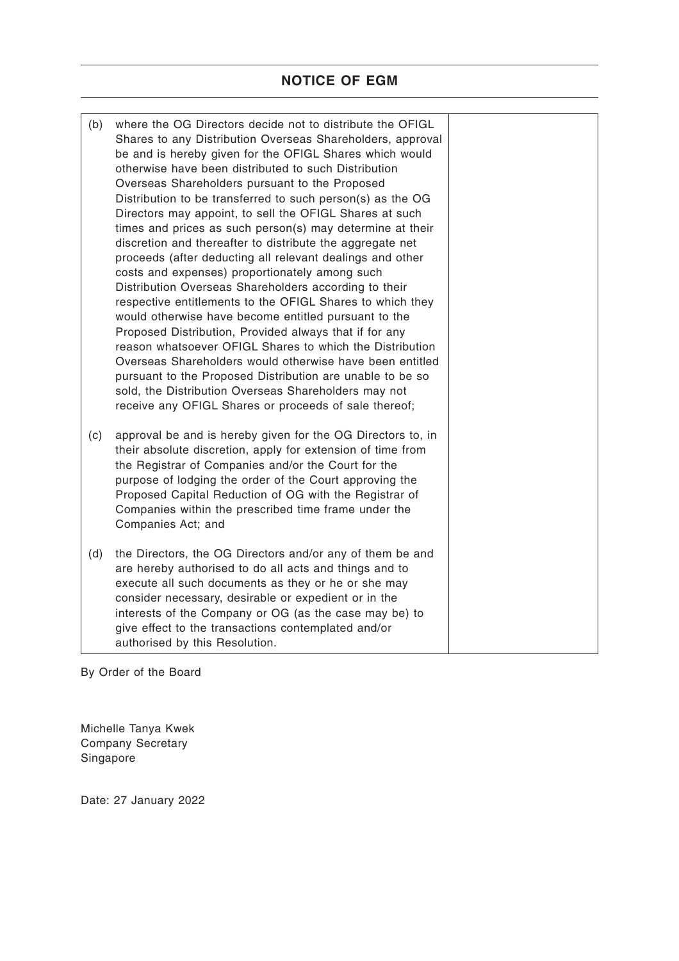| (b) | where the OG Directors decide not to distribute the OFIGL<br>Shares to any Distribution Overseas Shareholders, approval<br>be and is hereby given for the OFIGL Shares which would<br>otherwise have been distributed to such Distribution<br>Overseas Shareholders pursuant to the Proposed<br>Distribution to be transferred to such person(s) as the OG<br>Directors may appoint, to sell the OFIGL Shares at such<br>times and prices as such person(s) may determine at their<br>discretion and thereafter to distribute the aggregate net<br>proceeds (after deducting all relevant dealings and other<br>costs and expenses) proportionately among such<br>Distribution Overseas Shareholders according to their<br>respective entitlements to the OFIGL Shares to which they<br>would otherwise have become entitled pursuant to the<br>Proposed Distribution, Provided always that if for any<br>reason whatsoever OFIGL Shares to which the Distribution<br>Overseas Shareholders would otherwise have been entitled<br>pursuant to the Proposed Distribution are unable to be so<br>sold, the Distribution Overseas Shareholders may not<br>receive any OFIGL Shares or proceeds of sale thereof; |  |
|-----|--------------------------------------------------------------------------------------------------------------------------------------------------------------------------------------------------------------------------------------------------------------------------------------------------------------------------------------------------------------------------------------------------------------------------------------------------------------------------------------------------------------------------------------------------------------------------------------------------------------------------------------------------------------------------------------------------------------------------------------------------------------------------------------------------------------------------------------------------------------------------------------------------------------------------------------------------------------------------------------------------------------------------------------------------------------------------------------------------------------------------------------------------------------------------------------------------------------|--|
| (c) | approval be and is hereby given for the OG Directors to, in<br>their absolute discretion, apply for extension of time from<br>the Registrar of Companies and/or the Court for the<br>purpose of lodging the order of the Court approving the<br>Proposed Capital Reduction of OG with the Registrar of<br>Companies within the prescribed time frame under the<br>Companies Act; and                                                                                                                                                                                                                                                                                                                                                                                                                                                                                                                                                                                                                                                                                                                                                                                                                         |  |
| (d) | the Directors, the OG Directors and/or any of them be and<br>are hereby authorised to do all acts and things and to<br>execute all such documents as they or he or she may<br>consider necessary, desirable or expedient or in the<br>interests of the Company or OG (as the case may be) to<br>give effect to the transactions contemplated and/or<br>authorised by this Resolution.                                                                                                                                                                                                                                                                                                                                                                                                                                                                                                                                                                                                                                                                                                                                                                                                                        |  |

By Order of the Board

Michelle Tanya Kwek Company Secretary Singapore

Date: 27 January 2022